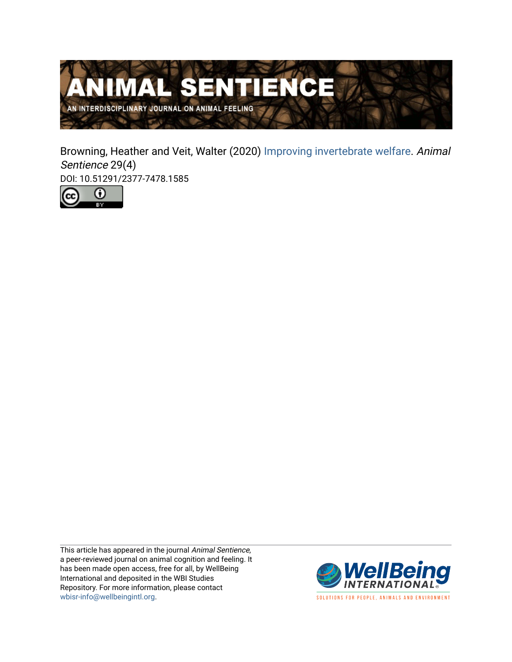

Browning, Heather and Veit, Walter (2020) [Improving invertebrate welfare](https://www.wellbeingintlstudiesrepository.org/animsent/vol5/iss29/4). Animal Sentience 29(4)

DOI: 10.51291/2377-7478.1585



This article has appeared in the journal Animal Sentience, a peer-reviewed journal on animal cognition and feeling. It has been made open access, free for all, by WellBeing International and deposited in the WBI Studies Repository. For more information, please contact [wbisr-info@wellbeingintl.org](mailto:wbisr-info@wellbeingintl.org).



SOLUTIONS FOR PEOPLE, ANIMALS AND ENVIRONMENT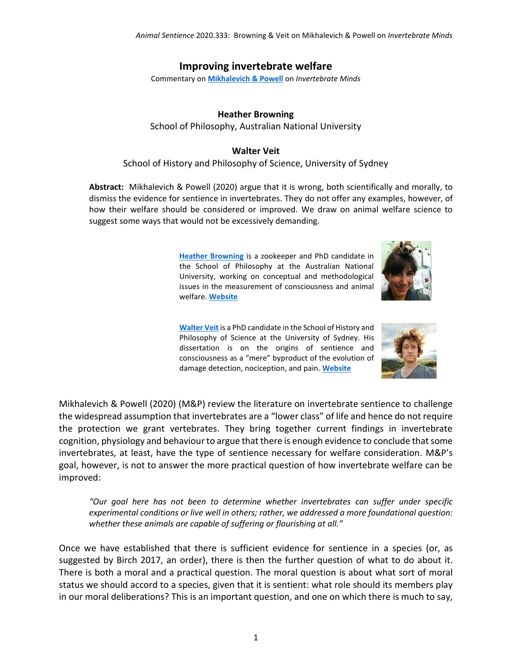### **Improving invertebrate welfare**

Commentary on **[Mikhalevich & Powell](https://animalstudiesrepository.org/animsent/vol5/iss29/1/)** on *Invertebrate Minds*

#### **Heather Browning**

School of Philosophy, Australian National University

#### **Walter Veit**

#### School of History and Philosophy of Science, University of Sydney

**Abstract:** Mikhalevich & Powell (2020) argue that it is wrong, both scientifically and morally, to dismiss the evidence for sentience in invertebrates. They do not offer any examples, however, of how their welfare should be considered or improved. We draw on animal welfare science to suggest some ways that would not be excessively demanding.

> **[Heather Browning](mailto:Heather.Browning@anu.edu.au)** is a zookeeper and PhD candidate in the School of Philosophy at the Australian National University, working on conceptual and methodological issues in the measurement of consciousness and animal welfare. **[Website](https://www.heatherbrowning.net/)**



**[Walter Veit](mailto:wrwveit@gmail.com)** is a PhD candidate in the School of History and Philosophy of Science at the University of Sydney. His dissertation is on the origins of sentience and consciousness as a "mere" byproduct of the evolution of damage detection, nociception, and pain. **[Website](http://www.walterveit.com/)**



Mikhalevich & Powell (2020) (M&P) review the literature on invertebrate sentience to challenge the widespread assumption that invertebrates are a "lower class" of life and hence do not require the protection we grant vertebrates. They bring together current findings in invertebrate cognition, physiology and behaviour to argue that there is enough evidence to conclude that some invertebrates, at least, have the type of sentience necessary for welfare consideration. M&P's goal, however, is not to answer the more practical question of how invertebrate welfare can be improved:

*"Our goal here has not been to determine whether invertebrates can suffer under specific experimental conditions or live well in others; rather, we addressed a more foundational question: whether these animals are capable of suffering or flourishing at all."*

Once we have established that there is sufficient evidence for sentience in a species (or, as suggested by Birch 2017, an order), there is then the further question of what to do about it. There is both a moral and a practical question. The moral question is about what sort of moral status we should accord to a species, given that it is sentient: what role should its members play in our moral deliberations? This is an important question, and one on which there is much to say,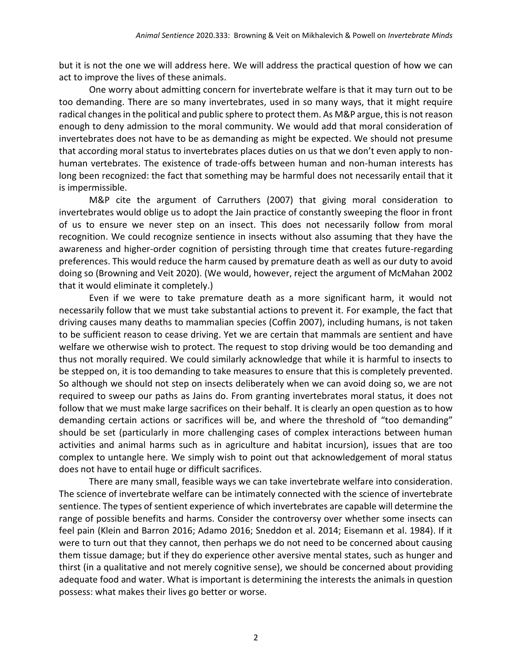but it is not the one we will address here. We will address the practical question of how we can act to improve the lives of these animals.

One worry about admitting concern for invertebrate welfare is that it may turn out to be too demanding. There are so many invertebrates, used in so many ways, that it might require radical changes in the political and public sphere to protect them. As M&P argue, this is not reason enough to deny admission to the moral community. We would add that moral consideration of invertebrates does not have to be as demanding as might be expected. We should not presume that according moral status to invertebrates places duties on us that we don't even apply to nonhuman vertebrates. The existence of trade-offs between human and non-human interests has long been recognized: the fact that something may be harmful does not necessarily entail that it is impermissible.

M&P cite the argument of Carruthers (2007) that giving moral consideration to invertebrates would oblige us to adopt the Jain practice of constantly sweeping the floor in front of us to ensure we never step on an insect. This does not necessarily follow from moral recognition. We could recognize sentience in insects without also assuming that they have the awareness and higher-order cognition of persisting through time that creates future-regarding preferences. This would reduce the harm caused by premature death as well as our duty to avoid doing so (Browning and Veit 2020). (We would, however, reject the argument of McMahan 2002 that it would eliminate it completely.)

Even if we were to take premature death as a more significant harm, it would not necessarily follow that we must take substantial actions to prevent it. For example, the fact that driving causes many deaths to mammalian species (Coffin 2007), including humans, is not taken to be sufficient reason to cease driving. Yet we are certain that mammals are sentient and have welfare we otherwise wish to protect. The request to stop driving would be too demanding and thus not morally required. We could similarly acknowledge that while it is harmful to insects to be stepped on, it is too demanding to take measures to ensure that this is completely prevented. So although we should not step on insects deliberately when we can avoid doing so, we are not required to sweep our paths as Jains do. From granting invertebrates moral status, it does not follow that we must make large sacrifices on their behalf. It is clearly an open question as to how demanding certain actions or sacrifices will be, and where the threshold of "too demanding" should be set (particularly in more challenging cases of complex interactions between human activities and animal harms such as in agriculture and habitat incursion), issues that are too complex to untangle here. We simply wish to point out that acknowledgement of moral status does not have to entail huge or difficult sacrifices.

There are many small, feasible ways we can take invertebrate welfare into consideration. The science of invertebrate welfare can be intimately connected with the science of invertebrate sentience. The types of sentient experience of which invertebrates are capable will determine the range of possible benefits and harms. Consider the controversy over whether some insects can feel pain (Klein and Barron 2016; Adamo 2016; Sneddon et al. 2014; Eisemann et al. 1984). If it were to turn out that they cannot, then perhaps we do not need to be concerned about causing them tissue damage; but if they do experience other aversive mental states, such as hunger and thirst (in a qualitative and not merely cognitive sense), we should be concerned about providing adequate food and water. What is important is determining the interests the animals in question possess: what makes their lives go better or worse.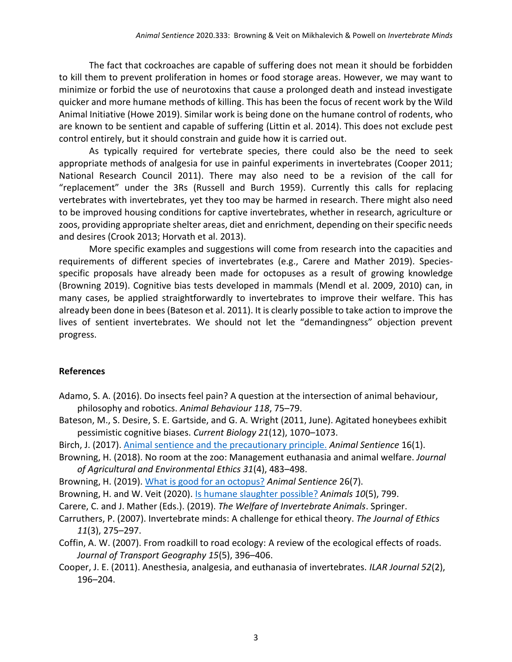The fact that cockroaches are capable of suffering does not mean it should be forbidden to kill them to prevent proliferation in homes or food storage areas. However, we may want to minimize or forbid the use of neurotoxins that cause a prolonged death and instead investigate quicker and more humane methods of killing. This has been the focus of recent work by the Wild Animal Initiative (Howe 2019). Similar work is being done on the humane control of rodents, who are known to be sentient and capable of suffering (Littin et al. 2014). This does not exclude pest control entirely, but it should constrain and guide how it is carried out.

As typically required for vertebrate species, there could also be the need to seek appropriate methods of analgesia for use in painful experiments in invertebrates (Cooper 2011; National Research Council 2011). There may also need to be a revision of the call for "replacement" under the 3Rs (Russell and Burch 1959). Currently this calls for replacing vertebrates with invertebrates, yet they too may be harmed in research. There might also need to be improved housing conditions for captive invertebrates, whether in research, agriculture or zoos, providing appropriate shelter areas, diet and enrichment, depending on their specific needs and desires (Crook 2013; Horvath et al. 2013).

More specific examples and suggestions will come from research into the capacities and requirements of different species of invertebrates (e.g., Carere and Mather 2019). Speciesspecific proposals have already been made for octopuses as a result of growing knowledge (Browning 2019). Cognitive bias tests developed in mammals (Mendl et al. 2009, 2010) can, in many cases, be applied straightforwardly to invertebrates to improve their welfare. This has already been done in bees (Bateson et al. 2011). It is clearly possible to take action to improve the lives of sentient invertebrates. We should not let the "demandingness" objection prevent progress.

#### **References**

- Adamo, S. A. (2016). Do insects feel pain? A question at the intersection of animal behaviour, philosophy and robotics. *Animal Behaviour 118*, 75–79.
- Bateson, M., S. Desire, S. E. Gartside, and G. A. Wright (2011, June). Agitated honeybees exhibit pessimistic cognitive biases. *Current Biology 21*(12), 1070–1073.

Birch, J. (2017). [Animal sentience and the precautionary principle.](https://animalstudiesrepository.org/animsent/vol2/iss16/1/) *Animal Sentience* 16(1).

- Browning, H. (2018). No room at the zoo: Management euthanasia and animal welfare. *Journal of Agricultural and Environmental Ethics 31*(4), 483–498.
- Browning, H. (2019). [What is good for an octopus?](https://animalstudiesrepository.org/animsent/vol4/iss26/7/) *Animal Sentience* 26(7).

Browning, H. and W. Veit (2020). [Is humane slaughter possible?](https://pubmed.ncbi.nlm.nih.gov/32380765/) *Animals 10*(5), 799.

Carere, C. and J. Mather (Eds.). (2019). *The Welfare of Invertebrate Animals*. Springer.

- Carruthers, P. (2007). Invertebrate minds: A challenge for ethical theory. *The Journal of Ethics 11*(3), 275–297.
- Coffin, A. W. (2007). From roadkill to road ecology: A review of the ecological effects of roads. *Journal of Transport Geography 15*(5), 396–406.
- Cooper, J. E. (2011). Anesthesia, analgesia, and euthanasia of invertebrates. *ILAR Journal 52*(2), 196–204.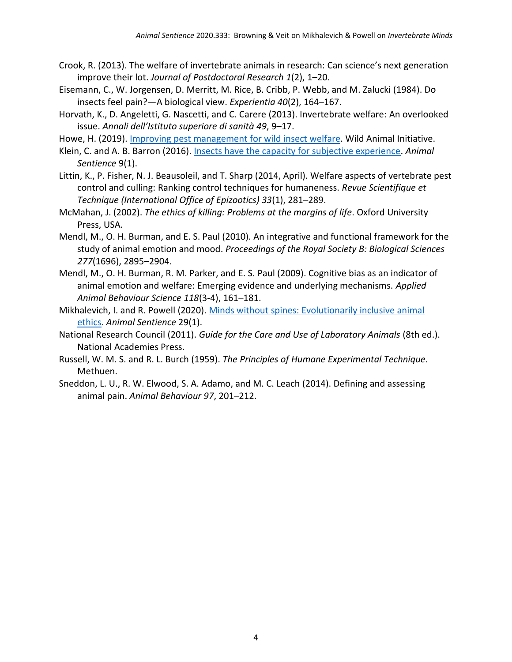- Crook, R. (2013). The welfare of invertebrate animals in research: Can science's next generation improve their lot. *Journal of Postdoctoral Research 1*(2), 1–20.
- Eisemann, C., W. Jorgensen, D. Merritt, M. Rice, B. Cribb, P. Webb, and M. Zalucki (1984). Do insects feel pain?—A biological view. *Experientia 40*(2), 164–167.
- Horvath, K., D. Angeletti, G. Nascetti, and C. Carere (2013). Invertebrate welfare: An overlooked issue. *Annali dell'Istituto superiore di sanità 49*, 9–17.
- Howe, H. (2019). [Improving pest management for wild insect welfare.](https://www.wildanimalinitiative.org/blog/humane-insecticides) Wild Animal Initiative.
- Klein, C. and A. B. Barron (2016). [Insects have the capacity for subjective experience.](https://animalstudiesrepository.org/animsent/vol1/iss9/1/) *Animal Sentience* 9(1).
- Littin, K., P. Fisher, N. J. Beausoleil, and T. Sharp (2014, April). Welfare aspects of vertebrate pest control and culling: Ranking control techniques for humaneness. *Revue Scientifique et Technique (International Office of Epizootics) 33*(1), 281–289.
- McMahan, J. (2002). *The ethics of killing: Problems at the margins of life*. Oxford University Press, USA.
- Mendl, M., O. H. Burman, and E. S. Paul (2010). An integrative and functional framework for the study of animal emotion and mood. *Proceedings of the Royal Society B: Biological Sciences 277*(1696), 2895–2904.
- Mendl, M., O. H. Burman, R. M. Parker, and E. S. Paul (2009). Cognitive bias as an indicator of animal emotion and welfare: Emerging evidence and underlying mechanisms. *Applied Animal Behaviour Science 118*(3-4), 161–181.
- Mikhalevich, I. and R. Powell (2020). [Minds without spines: Evolutionarily inclusive animal](https://animalstudiesrepository.org/animsent/vol5/iss29/1/)  [ethics.](https://animalstudiesrepository.org/animsent/vol5/iss29/1/) *Animal Sentience* 29(1).
- National Research Council (2011). *Guide for the Care and Use of Laboratory Animals* (8th ed.). National Academies Press.
- Russell, W. M. S. and R. L. Burch (1959). *The Principles of Humane Experimental Technique*. Methuen.
- Sneddon, L. U., R. W. Elwood, S. A. Adamo, and M. C. Leach (2014). Defining and assessing animal pain. *Animal Behaviour 97*, 201–212.